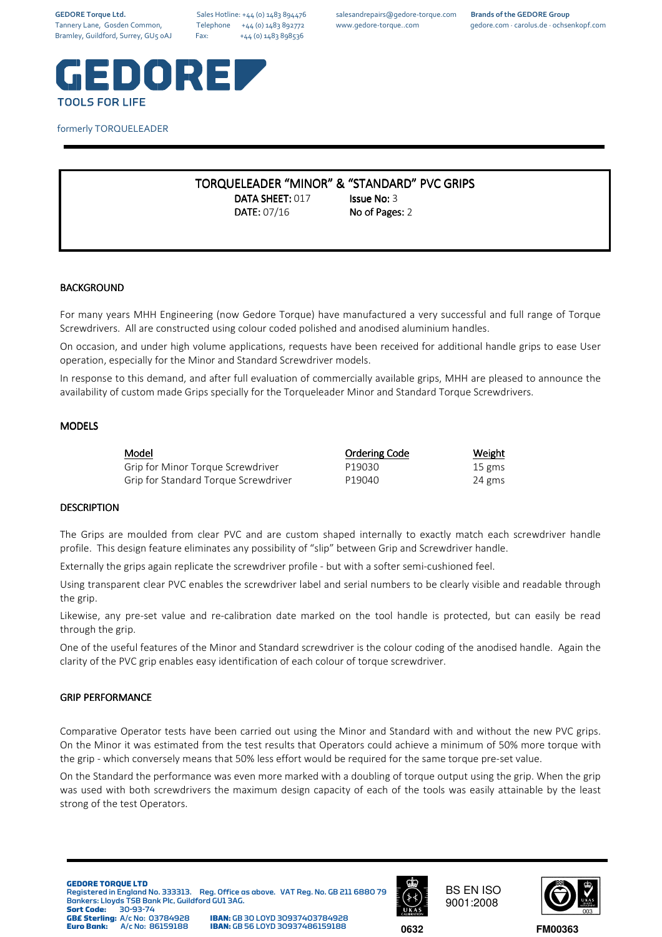**GEDORE Torque Ltd.** Sales Hotline: +44 (0) 1483 894476 salesandrepairs@gedore-torque.com **Brands of the GEDORE Group**

Tannery Lane, Gosden Common, Telephone +44 (0) 1483 892772 www.gedore-torque..com gedore.com · carolus.de · ochsenkopf.com



## formerly TORQUELEADER

# TORQUELEADER "MINOR" & "STANDARD" PVC GRIPS DATA SHEET: 017 Issue No: 3 **DATE: 07/16 No of Pages: 2**

**BACKGROUND** 

For many years MHH Engineering (now Gedore Torque) have manufactured a very successful and full range of Torque Screwdrivers. All are constructed using colour coded polished and anodised aluminium handles.

On occasion, and under high volume applications, requests have been received for additional handle grips to ease User operation, especially for the Minor and Standard Screwdriver models.

In response to this demand, and after full evaluation of commercially available grips, MHH are pleased to announce the availability of custom made Grips specially for the Torqueleader Minor and Standard Torque Screwdrivers.

## MODELS

| <b>Model</b>                         | <b>Ordering Code</b> | <u>Weight</u> |
|--------------------------------------|----------------------|---------------|
| Grip for Minor Torque Screwdriver    | P19030               | 15 gms        |
| Grip for Standard Torque Screwdriver | P19040               | 24 gms        |

### **DESCRIPTION**

The Grips are moulded from clear PVC and are custom shaped internally to exactly match each screwdriver handle profile. This design feature eliminates any possibility of "slip" between Grip and Screwdriver handle.

Externally the grips again replicate the screwdriver profile - but with a softer semi-cushioned feel.

Using transparent clear PVC enables the screwdriver label and serial numbers to be clearly visible and readable through the grip.

Likewise, any pre-set value and re-calibration date marked on the tool handle is protected, but can easily be read through the grip.

One of the useful features of the Minor and Standard screwdriver is the colour coding of the anodised handle. Again the clarity of the PVC grip enables easy identification of each colour of torque screwdriver.

### GRIP PERFORMANCE

Comparative Operator tests have been carried out using the Minor and Standard with and without the new PVC grips. On the Minor it was estimated from the test results that Operators could achieve a minimum of 50% more torque with the grip - which conversely means that 50% less effort would be required for the same torque pre-set value.

On the Standard the performance was even more marked with a doubling of torque output using the grip. When the grip was used with both screwdrivers the maximum design capacity of each of the tools was easily attainable by the least strong of the test Operators.

#### **GEDORE TORQUE LTD**

Registered in England No. 333313. Reg. Office as above. VAT Reg. No. GB 211 6880 79 Bankers: Lloyds TSB Bank Plc, Guildford GU1 3AG.<br>Sort Code: 30-93-74

**Sort Code:** 30-93-74<br>**GB£ Sterling:** A/c No: 03784928

**IBAN:** GB 30 LOYD 30937403784928<br>**IBAN:** GB 56 LOYD 30937486159188 **Euro Bank:** A/c No: 86159188 **IBAN:** GB 56 LOYD 30937486159188 **0632**



BS EN ISO 9001:2008



**FM00363**